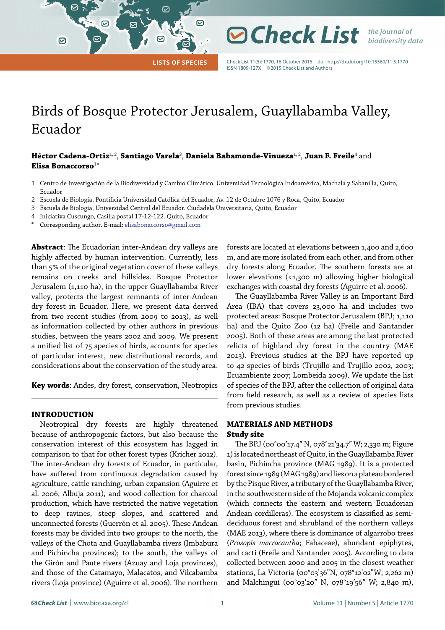**Lists of Species**

 $\bm{\heartsuit}$ 

 $\boldsymbol{\vartriangleright}$ 

Check List 11(5): 1770, 16 October 2015 doi:<http://dx.doi.org/10.15560/11.5.1770> ISSN 1809-127X ©2015 Check List and Authors

*Check List the journal of* 

*biodiversity data*

# Birds of Bosque Protector Jerusalem, Guayllabamba Valley, Ecuador

## **Héctor Cadena-Ortiz**1, 2, **Santiago Varela**<sup>3</sup> , **Daniela Bahamonde-Vinueza**1, 2, **Juan F. Freile**<sup>4</sup> and **Elisa Bonaccorso**<sup>1</sup> \*

- 1 Centro de Investigación de la Biodiversidad y Cambio Climático, Universidad Tecnológica Indoamérica, Machala y Sabanilla, Quito, Ecuador
- 2 Escuela de Biología, Pontificia Universidad Católica del Ecuador, Av. 12 de Octubre 1076 y Roca, Quito, Ecuador
- 3 Escuela de Biología, Universidad Central del Ecuador. Ciudadela Universitaria, Quito, Ecuador
- 4 Iniciativa Cuscungo, Casilla postal 17-12-122. Quito, Ecuador
- Corresponding author. E-mail: [elisabonaccorso@gmail.com](mailto:elisabonaccorso%40gmail.com?subject=)

 $\triangleright$ 

|

 $\odot$ 

**Abstract**: The Ecuadorian inter-Andean dry valleys are highly affected by human intervention. Currently, less than 5% of the original vegetation cover of these valleys remains on creeks and hillsides. Bosque Protector Jerusalem (1,110 ha), in the upper Guayllabamba River valley, protects the largest remnants of inter-Andean dry forest in Ecuador. Here, we present data derived from two recent studies (from 2009 to 2013), as well as information collected by other authors in previous studies, between the years 2002 and 2009. We present a unified list of 75 species of birds, accounts for species of particular interest, new distributional records, and considerations about the conservation of the study area.

**Key words**: Andes, dry forest, conservation, Neotropics

## **INTRODUCTION**

Neotropical dry forests are highly threatened because of anthropogenic factors, but also because the conservation interest of this ecosystem has lagged in comparison to that for other forest types (Kricher 2012). The inter-Andean dry forests of Ecuador, in particular, have suffered from continuous degradation caused by agriculture, cattle ranching, urban expansion (Aguirre et al. 2006; Albuja 2011), and wood collection for charcoal production, which have restricted the native vegetation to deep ravines, steep slopes, and scattered and unconnected forests (Guerrón et al. 2005). These Andean forests may be divided into two groups: to the north, the valleys of the Chota and Guayllabamba rivers (Imbabura and Pichincha provinces); to the south, the valleys of the Girón and Paute rivers (Azuay and Loja provinces), and those of the Catamayo, Malacatos, and Vilcabamba rivers (Loja province) (Aguirre et al. 2006). The northern

forests are located at elevations between 1,400 and 2,600 m, and are more isolated from each other, and from other dry forests along Ecuador. The southern forests are at lower elevations (<1,300 m) allowing higher biological exchanges with coastal dry forests (Aguirre et al. 2006).

The Guayllabamba River Valley is an Important Bird Area (IBA) that covers 23,000 ha and includes two protected areas: Bosque Protector Jerusalem (BPJ; 1,110 ha) and the Quito Zoo (12 ha) (Freile and Santander 2005). Both of these areas are among the last protected relicts of highland dry forest in the country (MAE 2013). Previous studies at the BPJ have reported up to 42 species of birds (Trujillo and Trujillo 2002, 2003; Ecuambiente 2007; Lombeida 2009). We update the list of species of the BPJ, after the collection of original data from field research, as well as a review of species lists from previous studies.

## **MATERIALS AND METHODS Study site**

The BPJ (00°00'17.4" N, 078°21'34.7" W; 2,330 m; Figure 1) is located northeast of Quito, in the Guayllabamba River basin, Pichincha province (MAG 1989). It is a protected forest since 1989 (MAG 1989) and lies on a plateau bordered by the Pisque River, a tributary of the Guayllabamba River, in the southwestern side of the Mojanda volcanic complex (which connects the eastern and western Ecuadorian Andean cordilleras). The ecosystem is classified as semideciduous forest and shrubland of the northern valleys (MAE 2013), where there is dominance of algarrobo trees (*Prosopis macracantha*; Fabaceae), abundant epiphytes, and cacti (Freile and Santander 2005). According to data collected between 2000 and 2005 in the closest weather stations, La Victoria (00°03'36"N, 078°12'02"W; 2,262 m) and Malchinguí (00°03'20" N, 078°19'56" W; 2,840 m),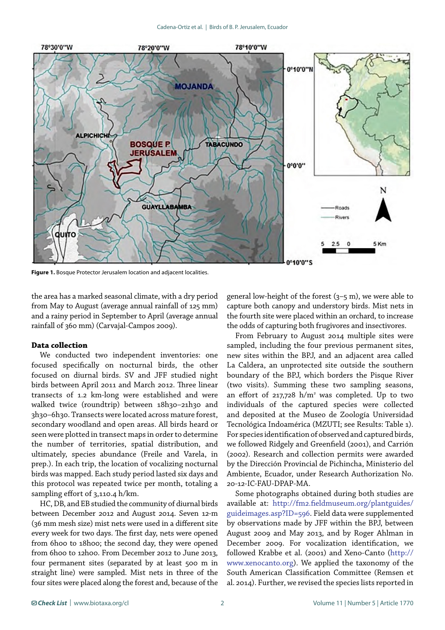

**Figure 1.** Bosque Protector Jerusalem location and adjacent localities.

the area has a marked seasonal climate, with a dry period from May to August (average annual rainfall of 125 mm) and a rainy period in September to April (average annual rainfall of 360 mm) (Carvajal-Campos 2009).

#### **Data collection**

We conducted two independent inventories: one focused specifically on nocturnal birds, the other focused on diurnal birds. SV and JFF studied night birds between April 2011 and March 2012. Three linear transects of 1.2 km-long were established and were walked twice (roundtrip) between 18h30-21h30 and 3h30–6h30. Transects were located across mature forest, secondary woodland and open areas. All birds heard or seen were plotted in transect maps in order to determine the number of territories, spatial distribution, and ultimately, species abundance (Freile and Varela, in prep.). In each trip, the location of vocalizing nocturnal birds was mapped. Each study period lasted six days and this protocol was repeated twice per month, totaling a sampling effort of 3,110.4 h/km.

HC, DB, and EB studied the community of diurnal birds between December 2012 and August 2014. Seven 12-m (36 mm mesh size) mist nets were used in a different site every week for two days. The first day, nets were opened from 6h00 to 18h00; the second day, they were opened from 6h00 to 12h00. From December 2012 to June 2013, four permanent sites (separated by at least 500 m in straight line) were sampled. Mist nets in three of the four sites were placed along the forest and, because of the general low-height of the forest  $(3-5 \text{ m})$ , we were able to capture both canopy and understory birds. Mist nets in the fourth site were placed within an orchard, to increase the odds of capturing both frugivores and insectivores.

From February to August 2014 multiple sites were sampled, including the four previous permanent sites, new sites within the BPJ, and an adjacent area called La Caldera, an unprotected site outside the southern boundary of the BPJ, which borders the Pisque River (two visits). Summing these two sampling seasons, an effort of 217,728  $h/m^2$  was completed. Up to two individuals of the captured species were collected and deposited at the Museo de Zoología Universidad Tecnológica Indoamérica (MZUTI; see Results: Table 1). For species identification of observed and captured birds, we followed Ridgely and Greenfield (2001), and Carrión (2002). Research and collection permits were awarded by the Dirección Provincial de Pichincha, Ministerio del Ambiente, Ecuador, under Research Authorization No. 20-12-IC-FAU-DPAP-MA.

Some photographs obtained during both studies are available at: [http://fm2.fieldmuseum.org/plantguides/](http://fm2.fieldmuseum.org/plantguides/guideimages.asp?ID=596) [guideimages.asp?ID=596.](http://fm2.fieldmuseum.org/plantguides/guideimages.asp?ID=596) Field data were supplemented by observations made by JFF within the BPJ, between August 2009 and May 2013, and by Roger Ahlman in December 2009. For vocalization identification, we followed Krabbe et al. (2001) and Xeno-Canto [\(http://](http://www.xenocanto.org) [www.xenocanto.org\)](http://www.xenocanto.org). We applied the taxonomy of the South American Classification Committee (Remsen et al. 2014). Further, we revised the species lists reported in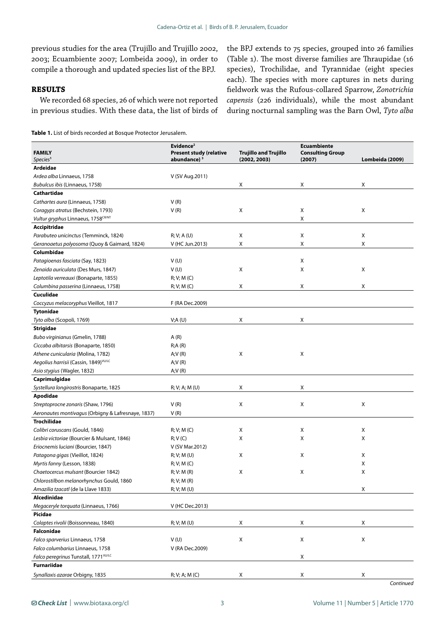previous studies for the area (Trujillo and Trujillo 2002, 2003; Ecuambiente 2007; Lombeida 2009), in order to compile a thorough and updated species list of the BPJ.

## **RESULTS**

We recorded 68 species, 26 of which were not reported in previous studies. With these data, the list of birds of

the BPJ extends to 75 species, grouped into 26 families (Table 1). The most diverse families are Thraupidae (16 species), Trochilidae, and Tyrannidae (eight species each). The species with more captures in nets during fieldwork was the Rufous-collared Sparrow, *Zonotrichia capensis* (226 individuals), while the most abundant during nocturnal sampling was the Barn Owl, *Tyto alba*

| <b>FAMILY</b><br>Species <sup>1</sup>              | Evidence <sup>2</sup><br><b>Present study (relative</b><br>abundance) <sup>3</sup> | <b>Trujillo and Trujillo</b><br>(2002, 2003) | <b>Ecuambiente</b><br><b>Consulting Group</b><br>(2007) | Lombeida (2009) |
|----------------------------------------------------|------------------------------------------------------------------------------------|----------------------------------------------|---------------------------------------------------------|-----------------|
| Ardeidae                                           |                                                                                    |                                              |                                                         |                 |
| Ardea alba Linnaeus, 1758                          | V (SV Aug.2011)                                                                    |                                              |                                                         |                 |
| Bubulcus ibis (Linnaeus, 1758)                     |                                                                                    | Χ                                            | Χ                                                       | X               |
| Cathartidae                                        |                                                                                    |                                              |                                                         |                 |
|                                                    | V(R)                                                                               |                                              |                                                         |                 |
| Cathartes aura (Linnaeus, 1758)                    |                                                                                    |                                              |                                                         |                 |
| Coragyps atratus (Bechstein, 1793)                 | V(R)                                                                               | X                                            | X                                                       | X               |
| Vultur gryphus Linnaeus, 1758CR/NT                 |                                                                                    |                                              | X                                                       |                 |
| <b>Accipitridae</b>                                |                                                                                    |                                              |                                                         |                 |
| Parabuteo unicinctus (Temminck, 1824)              | R; V; A(U)                                                                         | Χ                                            | X                                                       | X               |
| Geranoaetus polyosoma (Quoy & Gaimard, 1824)       | V (HC Jun.2013)                                                                    | X                                            | Χ                                                       | X               |
| Columbidae                                         |                                                                                    |                                              |                                                         |                 |
| Patagioenas fasciata (Say, 1823)                   | V(U)                                                                               |                                              | Χ                                                       |                 |
| Zenaida auriculata (Des Murs, 1847)                | V(U)                                                                               | X                                            | X                                                       | X               |
| Leptotila verreauxi (Bonaparte, 1855)              | R; V; M(C)                                                                         |                                              |                                                         |                 |
| Columbina passerina (Linnaeus, 1758)               | R; V; M(C)                                                                         | X                                            | X                                                       | X               |
| Cuculidae                                          |                                                                                    |                                              |                                                         |                 |
| Coccyzus melacoryphus Vieillot, 1817               | F (RA Dec.2009)                                                                    |                                              |                                                         |                 |
| <b>Tytonidae</b>                                   |                                                                                    |                                              |                                                         |                 |
| Tyto alba (Scopoli, 1769)                          | V;A(U)                                                                             | Χ                                            | х                                                       |                 |
| Strigidae                                          |                                                                                    |                                              |                                                         |                 |
| Bubo virginianus (Gmelin, 1788)                    | A(R)                                                                               |                                              |                                                         |                 |
| Ciccaba albitarsis (Bonaparte, 1850)               | R; A(R)                                                                            |                                              |                                                         |                 |
| Athene cunicularia (Molina, 1782)                  | A;V(R)                                                                             | X                                            | X                                                       |                 |
| Aegolius harrisii (Cassin, 1849) VU/LC             | A;V(R)                                                                             |                                              |                                                         |                 |
| Asio stygius (Wagler, 1832)                        | A;V(R)                                                                             |                                              |                                                         |                 |
| Caprimulgidae                                      |                                                                                    |                                              |                                                         |                 |
| Systellura longirostris Bonaparte, 1825            | R; V; A; M (U)                                                                     | X                                            | Χ                                                       |                 |
| Apodidae                                           |                                                                                    |                                              |                                                         |                 |
| Streptoprocne zonaris (Shaw, 1796)                 | V(R)                                                                               | X                                            | Χ                                                       | Х               |
| Aeronautes montivagus (Orbigny & Lafresnaye, 1837) | V(R)                                                                               |                                              |                                                         |                 |
| <b>Trochilidae</b>                                 |                                                                                    |                                              |                                                         |                 |
| Colibri coruscans (Gould, 1846)                    | R; V; M(C)                                                                         | х                                            | X                                                       | X               |
| Lesbia victoriae (Bourcier & Mulsant, 1846)        | R; V(C)                                                                            | X                                            | Χ                                                       | Χ               |
| Eriocnemis luciani (Bourcier, 1847)                | V (SV Mar.2012)                                                                    |                                              |                                                         |                 |
| Patagona gigas (Vieillot, 1824)                    | R; V; M(U)                                                                         | X                                            | Χ                                                       | X               |
| Myrtis fanny (Lesson, 1838)                        |                                                                                    |                                              |                                                         | Х               |
| Chaetocercus mulsant (Bourcier 1842)               | R; V; M(C)<br>R; V: M(R)                                                           | X                                            | X                                                       | Χ               |
|                                                    |                                                                                    |                                              |                                                         |                 |
| Chlorostilbon melanorhynchus Gould, 1860           | R; V; M(R)                                                                         |                                              |                                                         |                 |
| Amazilia tzacatl (de la Llave 1833)                | R; V; M(U)                                                                         |                                              |                                                         | х               |
| Alcedinidae                                        |                                                                                    |                                              |                                                         |                 |
| Megaceryle torquata (Linnaeus, 1766)               | V (HC Dec.2013)                                                                    |                                              |                                                         |                 |
| Picidae                                            |                                                                                    |                                              |                                                         |                 |
| Colaptes rivolii (Boissonneau, 1840)               | R; V; M (U)                                                                        | x                                            | X                                                       | х               |
| <b>Falconidae</b>                                  |                                                                                    |                                              |                                                         |                 |
| Falco sparverius Linnaeus, 1758                    | V(U)                                                                               | Х                                            | Χ                                                       | X               |
| Falco columbarius Linnaeus, 1758                   | V (RA Dec.2009)                                                                    |                                              |                                                         |                 |
| Falco peregrinus Tunstall, 1771VU/LC               |                                                                                    |                                              | Χ                                                       |                 |
| <b>Furnariidae</b>                                 |                                                                                    |                                              |                                                         |                 |
| Synallaxis azarae Orbigny, 1835                    | R; V; A; M (C)                                                                     | X                                            | X                                                       | х               |
|                                                    |                                                                                    |                                              |                                                         | Continued       |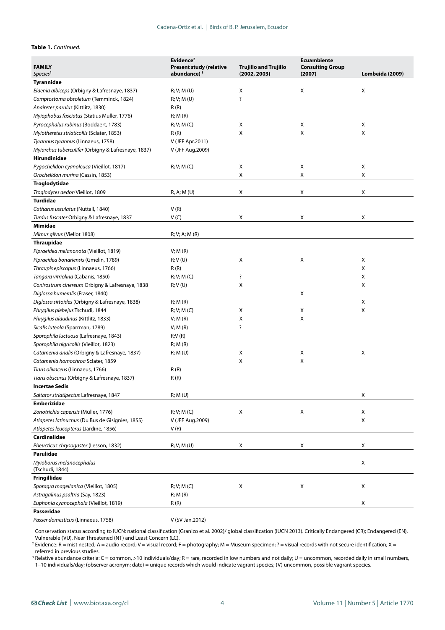### **Table 1.** *Continued.*

|                                                     | Evidence <sup>2</sup>          |                              | <b>Ecuambiente</b>        |                 |
|-----------------------------------------------------|--------------------------------|------------------------------|---------------------------|-----------------|
| <b>FAMILY</b>                                       | <b>Present study (relative</b> | <b>Trujillo and Trujillo</b> | <b>Consulting Group</b>   |                 |
| Species <sup>1</sup>                                | abundance) <sup>3</sup>        | (2002, 2003)                 | (2007)                    | Lombeida (2009) |
| Tyrannidae                                          |                                |                              | X                         | X               |
| Elaenia albiceps (Orbigny & Lafresnaye, 1837)       | R; V; M(U)                     | X                            |                           |                 |
| Camptostoma obsoletum (Temminck, 1824)              | R; V; M(U)                     | ?                            |                           |                 |
| Anairetes parulus (Kittlitz, 1830)                  | R(R)                           |                              |                           |                 |
| Myiophobus fasciatus (Statius Muller, 1776)         | R; M(R)                        |                              |                           |                 |
| Pyrocephalus rubinus (Boddaert, 1783)               | R; V; M(C)                     | Х                            | Χ                         | Χ               |
| Myiotheretes striaticollis (Sclater, 1853)          | R(R)                           | X                            | X                         | Χ               |
| Tyrannus tyrannus (Linnaeus, 1758)                  | V (JFF Apr.2011)               |                              |                           |                 |
| Myiarchus tuberculifer (Orbigny & Lafresnaye, 1837) | V (JFF Aug.2009)               |                              |                           |                 |
| Hirundinidae                                        |                                |                              |                           |                 |
| Pygochelidon cyanoleuca (Vieillot, 1817)            | R; V; M(C)                     | X                            | $\boldsymbol{\mathsf{X}}$ | X               |
| Orochelidon murina (Cassin, 1853)                   |                                | X                            | X                         | X               |
| Troglodytidae                                       |                                |                              |                           |                 |
| Troglodytes aedon Vieillot, 1809                    | R, A; M (U)                    | Χ                            | Χ                         | Χ               |
| <b>Turdidae</b>                                     |                                |                              |                           |                 |
| Catharus ustulatus (Nuttall, 1840)                  | V(R)                           |                              |                           |                 |
| Turdus fuscater Orbigny & Lafresnaye, 1837          | V(C)                           | Χ                            | Χ                         | Χ               |
| Mimidae                                             |                                |                              |                           |                 |
| Mimus gilvus (Viellot 1808)                         | R; V; A; M(R)                  |                              |                           |                 |
| <b>Thraupidae</b>                                   |                                |                              |                           |                 |
| Pipraeidea melanonota (Vieillot, 1819)              | V; M(R)                        |                              |                           |                 |
| Pipraeidea bonariensis (Gmelin, 1789)               | R; V(U)                        | Χ                            | Χ                         | Χ               |
| Thraupis episcopus (Linnaeus, 1766)                 | R(R)                           |                              |                           | Х               |
| Tangara vitriolina (Cabanis, 1850)                  | R; V; M(C)                     | ?                            |                           | Χ               |
| Conirostrum cinereum Orbigny & Lafresnaye, 1838     | R; V(U)                        | X                            |                           | X               |
| Diglossa humeralis (Fraser, 1840)                   |                                |                              | Χ                         |                 |
| Diglossa sittoides (Orbigny & Lafresnaye, 1838)     | R; M(R)                        |                              |                           | Х               |
| Phrygilus plebejus Tschudi, 1844                    | R; V; M(C)                     | Χ                            | Χ                         | X               |
| Phrygilus alaudinus (Kittlitz, 1833)                | V; M(R)                        | Х                            | X                         |                 |
| Sicalis luteola (Sparrman, 1789)                    | V; M(R)                        | ?                            |                           |                 |
| Sporophila luctuosa (Lafresnaye, 1843)              | R;V(R)                         |                              |                           |                 |
| Sporophila nigricollis (Vieillot, 1823)             | R; M(R)                        |                              |                           |                 |
| Catamenia analis (Orbigny & Lafresnaye, 1837)       | R; M(U)                        | х                            | X                         | Х               |
| Catamenia homochroa Sclater, 1859                   |                                | X                            | X                         |                 |
| Tiaris olivaceus (Linnaeus, 1766)                   | R(R)                           |                              |                           |                 |
| Tiaris obscurus (Orbigny & Lafresnaye, 1837)        | R(R)                           |                              |                           |                 |
| <b>Incertae Sedis</b>                               |                                |                              |                           |                 |
| Saltator striatipectus Lafresnaye, 1847             | R; M(U)                        |                              |                           | X               |
| <b>Emberizidae</b>                                  |                                |                              |                           |                 |
| Zonotrichia capensis (Müller, 1776)                 | R; V; M(C)                     | X                            | Χ                         | Χ               |
| Atlapetes latinuchus (Du Bus de Gisignies, 1855)    | V (JFF Aug.2009)               |                              |                           | Χ               |
| Atlapetes leucopterus (Jardine, 1856)               |                                |                              |                           |                 |
| Cardinalidae                                        | V(R)                           |                              |                           |                 |
|                                                     |                                |                              |                           |                 |
| Pheucticus chrysogaster (Lesson, 1832)              | R; V; M(U)                     | Χ                            | Χ                         | Х               |
| Parulidae                                           |                                |                              |                           |                 |
| Myioborus melanocephalus<br>(Tschudi, 1844)         |                                |                              |                           | X               |
| Fringillidae                                        |                                |                              |                           |                 |
| Sporagra magellanica (Vieillot, 1805)               | R; V; M(C)                     | Χ                            | Χ                         | Χ               |
| Astragalinus psaltria (Say, 1823)                   | R; M(R)                        |                              |                           |                 |
| Euphonia cyanocephala (Vieillot, 1819)              | R(R)                           |                              |                           | Χ               |
| Passeridae                                          |                                |                              |                           |                 |
| Passer domesticus (Linnaeus, 1758)                  | V (SV Jan.2012)                |                              |                           |                 |

<sup>1</sup> Conservation status according to IUCN: national classification (Granizo et al. 2002)/ global classification (IUCN 2013). Critically Endangered (CR); Endangered (EN), Vulnerable (VU), Near Threatened (NT) and Least Concern (LC).

<sup>2</sup> Evidence: R = mist nested; A = audio record; V = visual record; F = photography; M = Museum specimen; ? = visual records with not secure identification; X = referred in previous studies.

<sup>3</sup> Relative abundance criteria: C = common, >10 individuals/day; R = rare, recorded in low numbers and not daily; U = uncommon, recorded daily in small numbers, 1–10 individuals/day; (observer acronym; date) = unique records which would indicate vagrant species; (V) uncommon, possible vagrant species.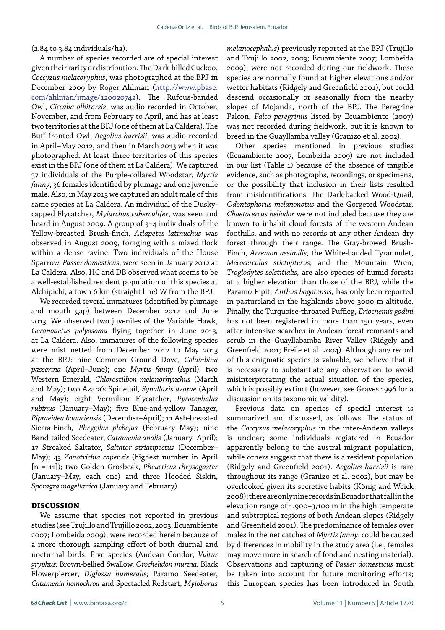(2.84 to 3.84 individuals/ha).

A number of species recorded are of special interest given their rarity or distribution. The Dark-billed Cuckoo, *Coccyzus melacoryphus*, was photographed at the BPJ in December 2009 by Roger Ahlman ([http://www.pbase.](http://www.pbase.com/ahlman/image/120020742) [com/ahlman/image/120020742\)](http://www.pbase.com/ahlman/image/120020742). The Rufous-banded Owl, *Ciccaba albitarsis*, was audio recorded in October, November, and from February to April, and has at least two territories at the BPJ (one of them at La Caldera). The Buff-fronted Owl, *Aegolius harrisii*, was audio recorded in April–May 2012, and then in March 2013 when it was photographed. At least three territories of this species exist in the BPJ (one of them at La Caldera). We captured 37 individuals of the Purple-collared Woodstar, *Myrtis fanny*; 36 females identified by plumage and one juvenile male. Also, in May 2013 we captured an adult male of this same species at La Caldera. An individual of the Duskycapped Flycatcher, *Myiarchus tuberculifer*, was seen and heard in August 2009. A group of 3–4 individuals of the Yellow-breasted Brush-finch, *Atlapetes latinuchus* was observed in August 2009, foraging with a mixed flock within a dense ravine. Two individuals of the House Sparrow, *Passer domesticus*, were seen in January 2012 at La Caldera. Also, HC and DB observed what seems to be a well-established resident population of this species at Alchipichi, a town 6 km (straight line) W from the BPJ.

We recorded several immatures (identified by plumage and mouth gap) between December 2012 and June 2013. We observed two juveniles of the Variable Hawk, *Geranoaetus polyosoma* flying together in June 2013, at La Caldera. Also, immatures of the following species were mist netted from December 2012 to May 2013 at the BPJ: nine Common Ground Dove, *Columbina passerina* (April–June); one *Myrtis fanny* (April); two Western Emerald, *Chlorostilbon melanorhynchus* (March and May); two Azara's Spinetail, *Synallaxis azarae* (April and May); eight Vermilion Flycatcher, *Pyrocephalus rubinus* (January–May); five Blue-and-yellow Tanager, *Pipraeidea bonariensis* (December–April); 11 Ash-breasted Sierra-Finch, *Phrygilus plebejus* (February–May); nine Band-tailed Seedeater, *Catamenia analis* (January–April); 17 Streaked Saltator, *Saltator striatipectus* (December– May); 43 *Zonotrichia capensis* (highest number in April [n = 11]); two Golden Grosbeak, *Pheucticus chrysogaster* (January–May, each one) and three Hooded Siskin, *Sporagra magellanica* (January and February).

### **DISCUSSION**

We assume that species not reported in previous studies (see Trujillo and Trujillo 2002, 2003; Ecuambiente 2007; Lombeida 2009), were recorded herein because of a more thorough sampling effort of both diurnal and nocturnal birds. Five species (Andean Condor, *Vultur gryphus;* Brown-bellied Swallow, *Orochelidon murina;* Black Flowerpiercer, *Diglossa humeralis;* Paramo Seedeater, *Catamenia homochroa* and Spectacled Redstart, *Myioborus* 

*melanocephalus*) previously reported at the BPJ (Trujillo and Trujillo 2002, 2003; Ecuambiente 2007; Lombeida 2009), were not recorded during our fieldwork. These species are normally found at higher elevations and/or wetter habitats (Ridgely and Greenfield 2001), but could descend occasionally or seasonally from the nearby slopes of Mojanda, north of the BPJ. The Peregrine Falcon, *Falco peregrinus* listed by Ecuambiente (2007) was not recorded during fieldwork, but it is known to breed in the Guayllamba valley (Granizo et al. 2002).

Other species mentioned in previous studies (Ecuambiente 2007; Lombeida 2009) are not included in our list (Table 1) because of the absence of tangible evidence, such as photographs, recordings, or specimens, or the possibility that inclusion in their lists resulted from misidentifications. The Dark-backed Wood-Quail, *Odontophorus melanonotus* and the Gorgeted Woodstar, *Chaetocercus heliodor* were not included because they are known to inhabit cloud forests of the western Andean foothills, and with no records at any other Andean dry forest through their range. The Gray-browed Brush-Finch, *Arremon assimilis*, the White-banded Tyrannulet, *Mecocerculus stictopterus*, and the Mountain Wren, *Troglodytes solstitialis,* are also species of humid forests at a higher elevation than those of the BPJ, while the Paramo Pipit, *Anthus bogotensis,* has only been reported in pastureland in the highlands above 3000 m altitude. Finally, the Turquoise-throated Puffleg, *Eriocnemis godini* has not been registered in more than 150 years, even after intensive searches in Andean forest remnants and scrub in the Guayllabamba River Valley (Ridgely and Greenfield 2001; Freile et al. 2004). Although any record of this enigmatic species is valuable, we believe that it is necessary to substantiate any observation to avoid misinterpretating the actual situation of the species, which is possibly extinct (however, see Graves 1996 for a discussion on its taxonomic validity).

Previous data on species of special interest is summarized and discussed, as follows. The status of the *Coccyzus melacoryphus* in the inter-Andean valleys is unclear; some individuals registered in Ecuador apparently belong to the austral migrant population, while others suggest that there is a resident population (Ridgely and Greenfield 2001). *Aegolius harrisii* is rare throughout its range (Granizo et al. 2002), but may be overlooked given its secretive habits (König and Weick 2008); there are only nine records in Ecuador that fall in the elevation range of 1,900–3,100 m in the high temperate and subtropical regions of both Andean slopes (Ridgely and Greenfield 2001). The predominance of females over males in the net catches of *Myrtis fanny*, could be caused by differences in mobility in the study area (i.e., females may move more in search of food and nesting material). Observations and capturing of *Passer domesticus* must be taken into account for future monitoring efforts; this European species has been introduced in South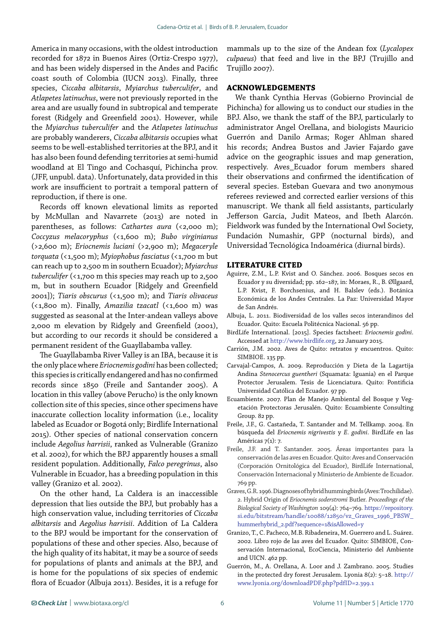America in many occasions, with the oldest introduction recorded for 1872 in Buenos Aires (Ortiz-Crespo 1977), and has been widely dispersed in the Andes and Pacific coast south of Colombia (IUCN 2013). Finally, three species, *Ciccaba albitarsis*, *Myiarchus tuberculifer*, and *Atlapetes latinuchus*, were not previously reported in the area and are usually found in subtropical and temperate forest (Ridgely and Greenfield 2001). However, while the *Myiarchus tuberculifer* and the *Atlapetes latinuchus* are probably wanderers, *Ciccaba albitarsis* occupies what seems to be well-established territories at the BPJ, and it has also been found defending territories at semi-humid woodland at El Tingo and Cochasquí, Pichincha prov. (JFF, unpubl. data). Unfortunately, data provided in this work are insufficient to portrait a temporal pattern of reproduction, if there is one.

Records off known elevational limits as reported by McMullan and Navarrete (2013) are noted in parentheses, as follows: *Cathartes aura* (<2,000 m); *Coccyzus melacoryphus* (<1,600 m); *Bubo virginianus* (>2,600 m); *Eriocnemis luciani* (>2,900 m); *Megaceryle torquata* (<1,500 m); *Myiophobus fasciatus* (<1,700 m but can reach up to 2,500 m in southern Ecuador); *Myiarchus*  tuberculifer (<1,700 m this species may reach up to 2,500 m, but in southern Ecuador [Ridgely and Greenfield 2001]); *Tiaris obscurus* (<1,500 m); and *Tiaris olivaceus* (<1,800 m). Finally, *Amazilia tzacatl* (<1,600 m) was suggested as seasonal at the Inter-andean valleys above 2,000 m elevation by Ridgely and Greenfield (2001), but according to our records it should be considered a permanent resident of the Guayllabamba valley.

The Guayllabamba River Valley is an IBA, because it is the only place where *Eriocnemis godini* has been collected; this species is critically endangered and has no confirmed records since 1850 (Freile and Santander 2005). A location in this valley (above Perucho) is the only known collection site of this species, since other specimens have inaccurate collection locality information (i.e., locality labeled as Ecuador or Bogotá only; Birdlife International 2015). Other species of national conservation concern include *Aegolius harrisii*, ranked as Vulnerable (Granizo et al. 2002), for which the BPJ apparently houses a small resident population. Additionally, *Falco peregrinus*, also Vulnerable in Ecuador, has a breeding population in this valley (Granizo et al. 2002).

On the other hand, La Caldera is an inaccessible depression that lies outside the BPJ, but probably has a high conservation value, including territories of *Ciccaba albitarsis* and *Aegolius harrisii*. Addition of La Caldera to the BPJ would be important for the conservation of populations of these and other species. Also, because of the high quality of its habitat, it may be a source of seeds for populations of plants and animals at the BPJ, and is home for the populations of six species of endemic flora of Ecuador (Albuja 2011). Besides, it is a refuge for

mammals up to the size of the Andean fox (*Lycalopex culpaeus*) that feed and live in the BPJ (Trujillo and Trujillo 2007).

## **ACKNOWLEDGEMENTS**

We thank Cynthia Hervas (Gobierno Provincial de Pichincha) for allowing us to conduct our studies in the BPJ. Also, we thank the staff of the BPJ, particularly to administrator Angel Orellana, and biologists Mauricio Guerrón and Danilo Armas; Roger Ahlman shared his records; Andrea Bustos and Javier Fajardo gave advice on the geographic issues and map generation, respectively. Aves\_Ecuador forum members shared their observations and confirmed the identification of several species. Esteban Guevara and two anonymous referees reviewed and corrected earlier versions of this manuscript. We thank all field assistants, particularly Jefferson García, Judit Mateos, and Ibeth Alarcón. Fieldwork was funded by the International Owl Society, Fundación Numashir, GPP (nocturnal birds), and Universidad Tecnológica Indoamérica (diurnal birds).

#### **LITERATURE CITED**

- Aguirre, Z.M., L.P. Kvist and O. Sánchez. 2006. Bosques secos en Ecuador y su diversidad; pp. 162–187, in: Moraes, R., B. Øllgaard, L.P. Kvist, F. Borchsenius, and H. Balslev (eds.). Botánica Económica de los Andes Centrales. La Paz: Universidad Mayor de San Andrés.
- Albuja, L. 2011. Biodiversidad de los valles secos interandinos del Ecuador. Quito: Escuela Politécnica Nacional. 56 pp.
- BirdLife International. [2015]. Species factsheet: *Eriocnemis godini*. Accessed at [http://www.birdlife.org](http://www.birdlife.org./), 22 January 2015.
- Carrión, J.M. 2002. Aves de Quito: retratos y encuentros. Quito: SIMBIOE. 135 pp.
- Carvajal-Campos, A. 2009. Reproducción y Dieta de la Lagartija Andina *Stenocercus guentheri* (Squamata: Iguania) en el Parque Protector Jerusalem. Tesis de Licenciatura. Quito: Pontificia Universidad Católica del Ecuador. 97 pp.
- Ecuambiente. 2007. Plan de Manejo Ambiental del Bosque y Vegetación Protectoras Jerusalén. Quito: Ecuambiente Consulting Group. 82 pp.
- Freile, J.F., G. Castañeda, T. Santander and M. Tellkamp. 2004. En búsqueda del *Eriocnemis nigrivestis* y *E. godini*. BirdLife en las Américas 7(1): 7.
- Freile, J.F. and T. Santander. 2005. Áreas importantes para la conservación de las aves en Ecuador. Quito: Aves and Conservación (Corporación Ornitológica del Ecuador), BirdLife International, Conservación Internacional y Ministerio de Ambiente de Ecuador. 769 pp.
- Graves, G.R. 1996. Diagnoses of hybrid hummingbirds (Aves: Trochilidae). 2. Hybrid Origin of *Eriocnemis soderstromi* Butler. *Proceedings of the Biological Society of Washington* 109(4): 764–769. [https://repository.](https://repository.si.edu/bitstream/handle/10088/12850/vz_Graves_1996_PBSW_hummerhybrid_2.pdf?sequence=1&isAllowed=y) [si.edu/bitstream/handle/10088/12850/vz\\_Graves\\_1996\\_PBSW\\_](https://repository.si.edu/bitstream/handle/10088/12850/vz_Graves_1996_PBSW_hummerhybrid_2.pdf?sequence=1&isAllowed=y) [hummerhybrid\\_2.pdf?sequence=1&isAllowed=y](https://repository.si.edu/bitstream/handle/10088/12850/vz_Graves_1996_PBSW_hummerhybrid_2.pdf?sequence=1&isAllowed=y)
- Granizo, T., C. Pacheco, M.B. Ribadeneira, M. Guerrero and L. Suárez. 2002. Libro rojo de las aves del Ecuador. Quito: SIMBIOE, Conservación Internacional, EcoCiencia, Ministerio del Ambiente and UICN. 462 pp.
- Guerrón, M., A. Orellana, A. Loor and J. Zambrano. 2005. Studies in the protected dry forest Jerusalem. Lyonia 8(2): 5–18. [http://](http://www.lyonia.org/downloadPDF.php?pdfID=2.399.1) [www.lyonia.org/downloadPDF.php?pdfID=2.399.1](http://www.lyonia.org/downloadPDF.php?pdfID=2.399.1)